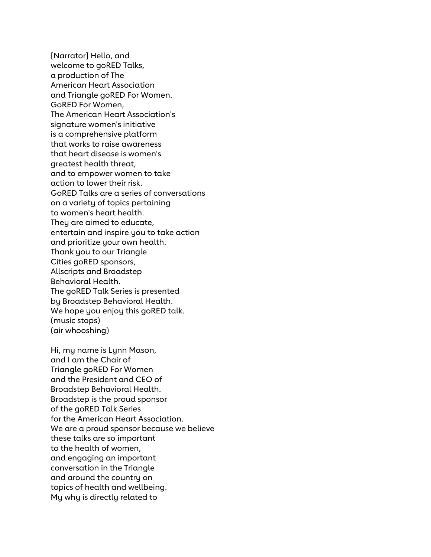[Narrator] Hello, and welcome to goRED Talks, a production of The American Heart Association and Triangle goRED For Women. GoRED For Women, The American Heart Association's signature women's initiative is a comprehensive platform that works to raise awareness that heart disease is women's greatest health threat, and to empower women to take action to lower their risk. GoRED Talks are a series of conversations on a variety of topics pertaining to women's heart health. They are aimed to educate, entertain and inspire you to take action and prioritize your own health. Thank you to our Triangle Cities goRED sponsors, Allscripts and Broadstep Behavioral Health. The goRED Talk Series is presented by Broadstep Behavioral Health. We hope you enjoy this goRED talk. (music stops) (air whooshing)

Hi, my name is Lynn Mason, and I am the Chair of Triangle goRED For Women and the President and CEO of Broadstep Behavioral Health. Broadstep is the proud sponsor of the goRED Talk Series for the American Heart Association. We are a proud sponsor because we believe these talks are so important to the health of women, and engaging an important conversation in the Triangle and around the country on topics of health and wellbeing. My why is directly related to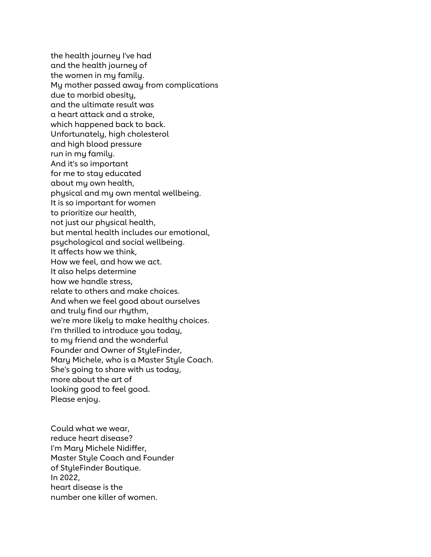the health journey I've had and the health journey of the women in my family. My mother passed away from complications due to morbid obesity, and the ultimate result was a heart attack and a stroke, which happened back to back. Unfortunately, high cholesterol and high blood pressure run in my family. And it's so important for me to stay educated about my own health, physical and my own mental wellbeing. It is so important for women to prioritize our health, not just our physical health, but mental health includes our emotional, psychological and social wellbeing. It affects how we think, How we feel, and how we act. It also helps determine how we handle stress, relate to others and make choices. And when we feel good about ourselves and truly find our rhythm, we're more likely to make healthy choices. I'm thrilled to introduce you today, to my friend and the wonderful Founder and Owner of StyleFinder, Mary Michele, who is a Master Style Coach. She's going to share with us today, more about the art of looking good to feel good. Please enjoy.

Could what we wear, reduce heart disease? I'm Mary Michele Nidiffer, Master Style Coach and Founder of StyleFinder Boutique. In 2022, heart disease is the number one killer of women.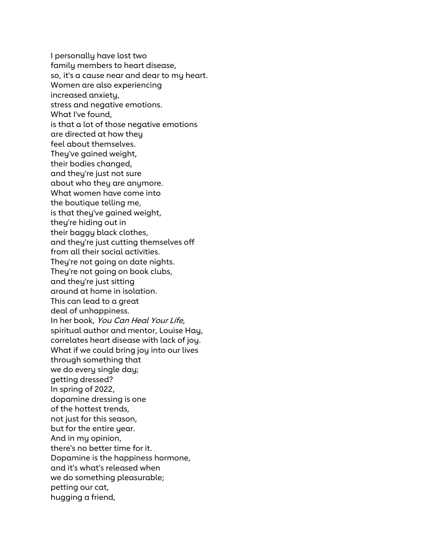I personally have lost two family members to heart disease, so, it's a cause near and dear to my heart. Women are also experiencing increased anxiety, stress and negative emotions. What I've found, is that a lot of those negative emotions are directed at how they feel about themselves. They've gained weight, their bodies changed, and they're just not sure about who they are anymore. What women have come into the boutique telling me, is that they've gained weight, they're hiding out in their baggy black clothes, and they're just cutting themselves off from all their social activities. They're not going on date nights. They're not going on book clubs, and they're just sitting around at home in isolation. This can lead to a great deal of unhappiness. In her book, You Can Heal Your Life, spiritual author and mentor, Louise Hay, correlates heart disease with lack of joy. What if we could bring joy into our lives through something that we do every single day; getting dressed? In spring of 2022, dopamine dressing is one of the hottest trends, not just for this season, but for the entire year. And in my opinion, there's no better time for it. Dopamine is the happiness hormone, and it's what's released when we do something pleasurable; petting our cat, hugging a friend,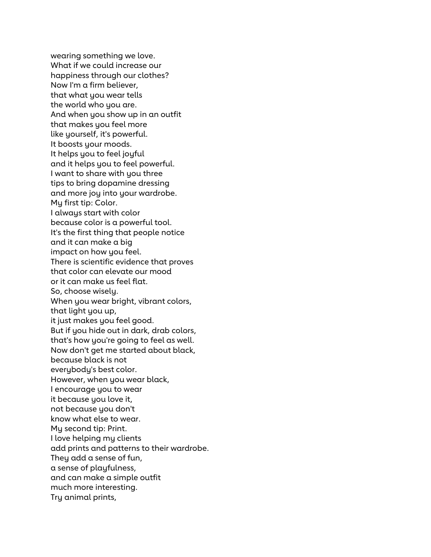wearing something we love. What if we could increase our happiness through our clothes? Now I'm a firm believer, that what you wear tells the world who you are. And when you show up in an outfit that makes you feel more like yourself, it's powerful. It boosts your moods. It helps you to feel joyful and it helps you to feel powerful. I want to share with you three tips to bring dopamine dressing and more joy into your wardrobe. My first tip: Color. I always start with color because color is a powerful tool. It's the first thing that people notice and it can make a big impact on how you feel. There is scientific evidence that proves that color can elevate our mood or it can make us feel flat. So, choose wisely. When you wear bright, vibrant colors, that light you up, it just makes you feel good. But if you hide out in dark, drab colors, that's how you're going to feel as well. Now don't get me started about black, because black is not everybody's best color. However, when you wear black, I encourage you to wear it because you love it, not because you don't know what else to wear. My second tip: Print. I love helping my clients add prints and patterns to their wardrobe. They add a sense of fun, a sense of playfulness, and can make a simple outfit much more interesting. Try animal prints,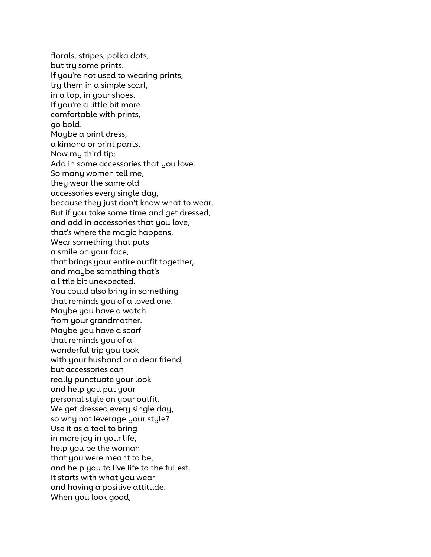florals, stripes, polka dots, but try some prints. If you're not used to wearing prints, try them in a simple scarf, in a top, in your shoes. If you're a little bit more comfortable with prints, go bold. Maybe a print dress, a kimono or print pants. Now my third tip: Add in some accessories that you love. So many women tell me, they wear the same old accessories every single day, because they just don't know what to wear. But if you take some time and get dressed, and add in accessories that you love, that's where the magic happens. Wear something that puts a smile on your face, that brings your entire outfit together, and maybe something that's a little bit unexpected. You could also bring in something that reminds you of a loved one. Maybe you have a watch from your grandmother. Maybe you have a scarf that reminds you of a wonderful trip you took with your husband or a dear friend, but accessories can really punctuate your look and help you put your personal style on your outfit. We get dressed every single day, so why not leverage your style? Use it as a tool to bring in more joy in your life, help you be the woman that you were meant to be, and help you to live life to the fullest. It starts with what you wear and having a positive attitude. When you look good,